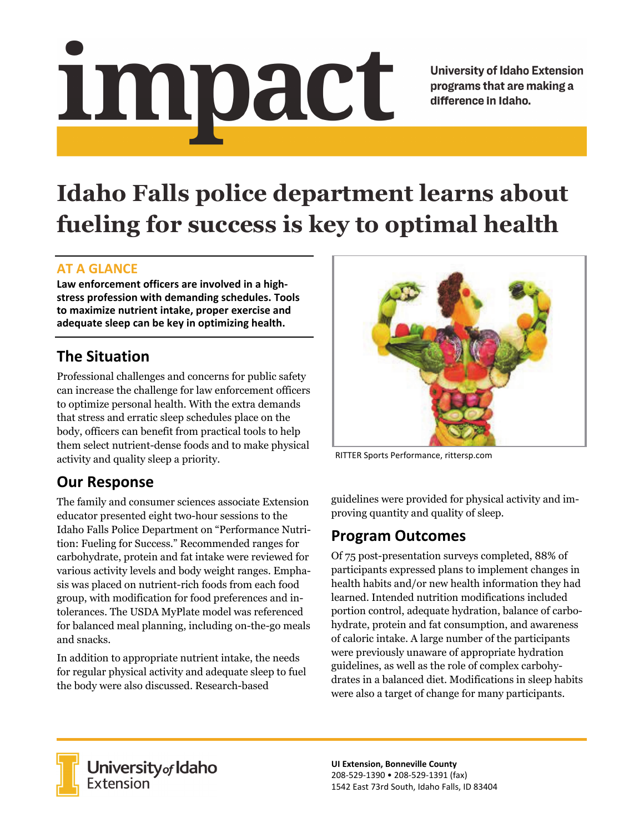# <u>impact</u>

**University of Idaho Extension** programs that are making a difference in Idaho.

# **Idaho Falls police department learns about fueling for success is key to optimal health**

#### **AT A GLANCE**

**Law enforcement officers are involved in a high‐ stress profession with demanding schedules. Tools to maximize nutrient intake, proper exercise and adequate sleep can be key in optimizing health.** 

## **The Situation**

Professional challenges and concerns for public safety can increase the challenge for law enforcement officers to optimize personal health. With the extra demands that stress and erratic sleep schedules place on the body, officers can benefit from practical tools to help them select nutrient-dense foods and to make physical activity and quality sleep a priority.

## **Our Response**

The family and consumer sciences associate Extension educator presented eight two-hour sessions to the Idaho Falls Police Department on "Performance Nutrition: Fueling for Success." Recommended ranges for carbohydrate, protein and fat intake were reviewed for various activity levels and body weight ranges. Emphasis was placed on nutrient-rich foods from each food group, with modification for food preferences and intolerances. The USDA MyPlate model was referenced for balanced meal planning, including on-the-go meals and snacks.

In addition to appropriate nutrient intake, the needs for regular physical activity and adequate sleep to fuel the body were also discussed. Research-based



RITTER Sports Performance, rittersp.com

guidelines were provided for physical activity and improving quantity and quality of sleep.

#### **Program Outcomes**

Of 75 post-presentation surveys completed, 88% of participants expressed plans to implement changes in health habits and/or new health information they had learned. Intended nutrition modifications included portion control, adequate hydration, balance of carbohydrate, protein and fat consumption, and awareness of caloric intake. A large number of the participants were previously unaware of appropriate hydration guidelines, as well as the role of complex carbohydrates in a balanced diet. Modifications in sleep habits were also a target of change for many participants.



**University** of Idaho<br>Extension

**UI Extension, Bonneville County**  208‐529‐1390 • 208‐529‐1391 (fax) 1542 East 73rd South, Idaho Falls, ID 83404